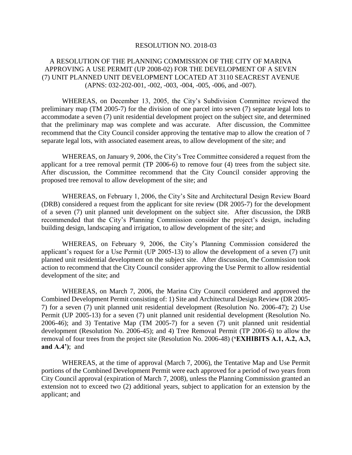## RESOLUTION NO. 2018-03

## A RESOLUTION OF THE PLANNING COMMISSION OF THE CITY OF MARINA APPROVING A USE PERMIT (UP 2008-02) FOR THE DEVELOPMENT OF A SEVEN (7) UNIT PLANNED UNIT DEVELOPMENT LOCATED AT 3110 SEACREST AVENUE (APNS: 032-202-001, -002, -003, -004, -005, -006, and -007).

WHEREAS, on December 13, 2005, the City's Subdivision Committee reviewed the preliminary map (TM 2005-7) for the division of one parcel into seven (7) separate legal lots to accommodate a seven (7) unit residential development project on the subject site, and determined that the preliminary map was complete and was accurate. After discussion, the Committee recommend that the City Council consider approving the tentative map to allow the creation of 7 separate legal lots, with associated easement areas, to allow development of the site; and

WHEREAS, on January 9, 2006, the City's Tree Committee considered a request from the applicant for a tree removal permit (TP 2006-6) to remove four (4) trees from the subject site. After discussion, the Committee recommend that the City Council consider approving the proposed tree removal to allow development of the site; and

WHEREAS, on February 1, 2006, the City's Site and Architectural Design Review Board (DRB) considered a request from the applicant for site review (DR 2005-7) for the development of a seven (7) unit planned unit development on the subject site. After discussion, the DRB recommended that the City's Planning Commission consider the project's design, including building design, landscaping and irrigation, to allow development of the site; and

WHEREAS, on February 9, 2006, the City's Planning Commission considered the applicant's request for a Use Permit (UP 2005-13) to allow the development of a seven (7) unit planned unit residential development on the subject site. After discussion, the Commission took action to recommend that the City Council consider approving the Use Permit to allow residential development of the site; and

WHEREAS, on March 7, 2006, the Marina City Council considered and approved the Combined Development Permit consisting of: 1) Site and Architectural Design Review (DR 2005- 7) for a seven (7) unit planned unit residential development (Resolution No. 2006-47); 2) Use Permit (UP 2005-13) for a seven (7) unit planned unit residential development (Resolution No. 2006-46); and 3) Tentative Map (TM 2005-7) for a seven (7) unit planned unit residential development (Resolution No. 2006-45); and 4) Tree Removal Permit (TP 2006-6) to allow the removal of four trees from the project site (Resolution No. 2006-48) (**'EXHIBITS A.1, A.2, A.3, and A.4')**; and

WHEREAS, at the time of approval (March 7, 2006), the Tentative Map and Use Permit portions of the Combined Development Permit were each approved for a period of two years from City Council approval (expiration of March 7, 2008), unless the Planning Commission granted an extension not to exceed two (2) additional years, subject to application for an extension by the applicant; and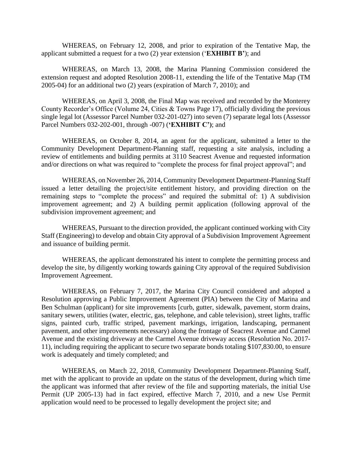WHEREAS, on February 12, 2008, and prior to expiration of the Tentative Map, the applicant submitted a request for a two (2) year extension ('**EXHIBIT B'**); and

WHEREAS, on March 13, 2008, the Marina Planning Commission considered the extension request and adopted Resolution 2008-11, extending the life of the Tentative Map (TM 2005-04) for an additional two (2) years (expiration of March 7, 2010); and

WHEREAS, on April 3, 2008, the Final Map was received and recorded by the Monterey County Recorder's Office (Volume 24, Cities & Towns Page 17), officially dividing the previous single legal lot (Assessor Parcel Number 032-201-027) into seven (7) separate legal lots (Assessor Parcel Numbers 032-202-001, through -007) (**'EXHIBIT C')**; and

WHEREAS, on October 8, 2014, an agent for the applicant, submitted a letter to the Community Development Department-Planning staff, requesting a site analysis, including a review of entitlements and building permits at 3110 Seacrest Avenue and requested information and/or directions on what was required to "complete the process for final project approval"; and

WHEREAS, on November 26, 2014, Community Development Department-Planning Staff issued a letter detailing the project/site entitlement history, and providing direction on the remaining steps to "complete the process" and required the submittal of: 1) A subdivision improvement agreement; and 2) A building permit application (following approval of the subdivision improvement agreement; and

WHEREAS, Pursuant to the direction provided, the applicant continued working with City Staff (Engineering) to develop and obtain City approval of a Subdivision Improvement Agreement and issuance of building permit.

WHEREAS, the applicant demonstrated his intent to complete the permitting process and develop the site, by diligently working towards gaining City approval of the required Subdivision Improvement Agreement.

WHEREAS, on February 7, 2017, the Marina City Council considered and adopted a Resolution approving a Public Improvement Agreement (PIA) between the City of Marina and Ben Schulman (applicant) for site improvements [curb, gutter, sidewalk, pavement, storm drains, sanitary sewers, utilities (water, electric, gas, telephone, and cable television), street lights, traffic signs, painted curb, traffic striped, pavement markings, irrigation, landscaping, permanent pavement, and other improvements necessary) along the frontage of Seacrest Avenue and Carmel Avenue and the existing driveway at the Carmel Avenue driveway access (Resolution No. 2017- 11), including requiring the applicant to secure two separate bonds totaling \$107,830.00, to ensure work is adequately and timely completed; and

WHEREAS, on March 22, 2018, Community Development Department-Planning Staff, met with the applicant to provide an update on the status of the development, during which time the applicant was informed that after review of the file and supporting materials, the initial Use Permit (UP 2005-13) had in fact expired, effective March 7, 2010, and a new Use Permit application would need to be processed to legally development the project site; and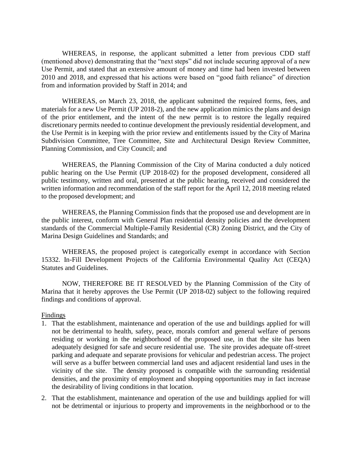WHEREAS, in response, the applicant submitted a letter from previous CDD staff (mentioned above) demonstrating that the "next steps" did not include securing approval of a new Use Permit, and stated that an extensive amount of money and time had been invested between 2010 and 2018, and expressed that his actions were based on "good faith reliance" of direction from and information provided by Staff in 2014; and

WHEREAS, on March 23, 2018, the applicant submitted the required forms, fees, and materials for a new Use Permit (UP 2018-2), and the new application mimics the plans and design of the prior entitlement, and the intent of the new permit is to restore the legally required discretionary permits needed to continue development the previously residential development, and the Use Permit is in keeping with the prior review and entitlements issued by the City of Marina Subdivision Committee, Tree Committee, Site and Architectural Design Review Committee, Planning Commission, and City Council; and

WHEREAS, the Planning Commission of the City of Marina conducted a duly noticed public hearing on the Use Permit (UP 2018-02) for the proposed development, considered all public testimony, written and oral, presented at the public hearing, received and considered the written information and recommendation of the staff report for the April 12, 2018 meeting related to the proposed development; and

WHEREAS, the Planning Commission finds that the proposed use and development are in the public interest, conform with General Plan residential density policies and the development standards of the Commercial Multiple-Family Residential (CR) Zoning District, and the City of Marina Design Guidelines and Standards; and

WHEREAS, the proposed project is categorically exempt in accordance with Section 15332. In-Fill Development Projects of the California Environmental Quality Act (CEQA) Statutes and Guidelines.

NOW, THEREFORE BE IT RESOLVED by the Planning Commission of the City of Marina that it hereby approves the Use Permit (UP 2018-02) subject to the following required findings and conditions of approval.

## **Findings**

- 1. That the establishment, maintenance and operation of the use and buildings applied for will not be detrimental to health, safety, peace, morals comfort and general welfare of persons residing or working in the neighborhood of the proposed use, in that the site has been adequately designed for safe and secure residential use. The site provides adequate off-street parking and adequate and separate provisions for vehicular and pedestrian access. The project will serve as a buffer between commercial land uses and adjacent residential land uses in the vicinity of the site. The density proposed is compatible with the surrounding residential densities, and the proximity of employment and shopping opportunities may in fact increase the desirability of living conditions in that location.
- 2. That the establishment, maintenance and operation of the use and buildings applied for will not be detrimental or injurious to property and improvements in the neighborhood or to the